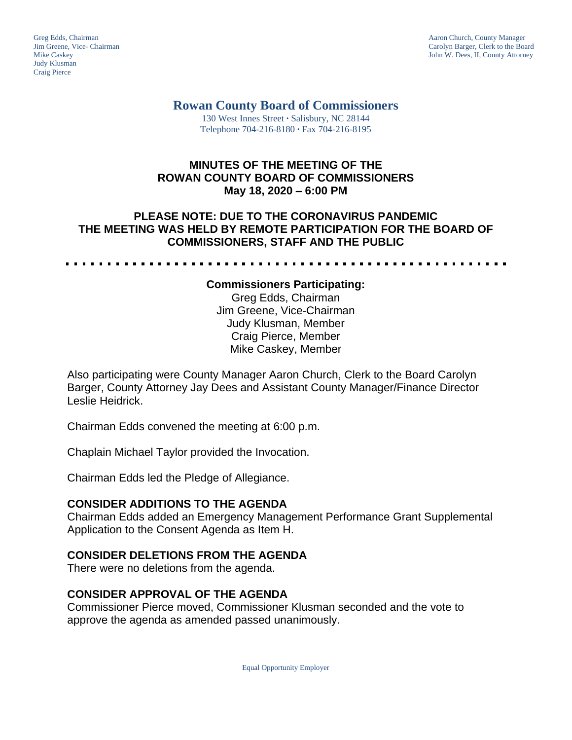Judy Klusman Craig Pierce

Greg Edds, Chairman Aaron Church, County Manager<br>
1989 - Garolyn Barger, Clerk to the Boa<br>
Carolyn Barger, Clerk to the Boa Jim Greene, Vice- Chairman Carolyn Barger, Clerk to the Board John W. Dees, II, County Attorney

**Rowan County Board of Commissioners**

130 West Innes Street **∙** Salisbury, NC 28144 Telephone 704-216-8180 **∙** Fax 704-216-8195

## **MINUTES OF THE MEETING OF THE ROWAN COUNTY BOARD OF COMMISSIONERS May 18, 2020 – 6:00 PM**

**PLEASE NOTE: DUE TO THE CORONAVIRUS PANDEMIC THE MEETING WAS HELD BY REMOTE PARTICIPATION FOR THE BOARD OF COMMISSIONERS, STAFF AND THE PUBLIC**

#### **Commissioners Participating:**

Greg Edds, Chairman Jim Greene, Vice-Chairman Judy Klusman, Member Craig Pierce, Member Mike Caskey, Member

Also participating were County Manager Aaron Church, Clerk to the Board Carolyn Barger, County Attorney Jay Dees and Assistant County Manager/Finance Director Leslie Heidrick.

Chairman Edds convened the meeting at 6:00 p.m.

Chaplain Michael Taylor provided the Invocation.

Chairman Edds led the Pledge of Allegiance.

#### **CONSIDER ADDITIONS TO THE AGENDA**

Chairman Edds added an Emergency Management Performance Grant Supplemental Application to the Consent Agenda as Item H.

#### **CONSIDER DELETIONS FROM THE AGENDA**

There were no deletions from the agenda.

#### **CONSIDER APPROVAL OF THE AGENDA**

Commissioner Pierce moved, Commissioner Klusman seconded and the vote to approve the agenda as amended passed unanimously.

Equal Opportunity Employer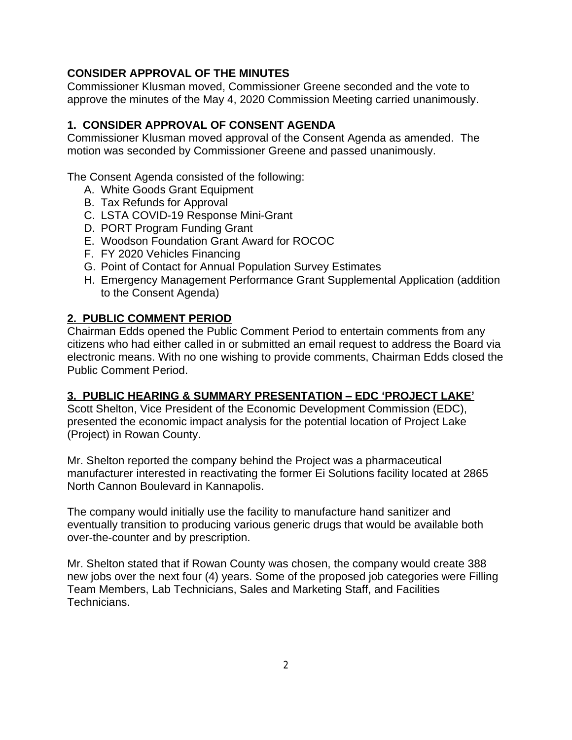# **CONSIDER APPROVAL OF THE MINUTES**

Commissioner Klusman moved, Commissioner Greene seconded and the vote to approve the minutes of the May 4, 2020 Commission Meeting carried unanimously.

# **1. CONSIDER APPROVAL OF CONSENT AGENDA**

Commissioner Klusman moved approval of the Consent Agenda as amended. The motion was seconded by Commissioner Greene and passed unanimously.

The Consent Agenda consisted of the following:

- A. White Goods Grant Equipment
- B. Tax Refunds for Approval
- C. LSTA COVID-19 Response Mini-Grant
- D. PORT Program Funding Grant
- E. Woodson Foundation Grant Award for ROCOC
- F. FY 2020 Vehicles Financing
- G. Point of Contact for Annual Population Survey Estimates
- H. Emergency Management Performance Grant Supplemental Application (addition to the Consent Agenda)

## **2. PUBLIC COMMENT PERIOD**

Chairman Edds opened the Public Comment Period to entertain comments from any citizens who had either called in or submitted an email request to address the Board via electronic means. With no one wishing to provide comments, Chairman Edds closed the Public Comment Period.

## **3. PUBLIC HEARING & SUMMARY PRESENTATION – EDC 'PROJECT LAKE'**

Scott Shelton, Vice President of the Economic Development Commission (EDC), presented the economic impact analysis for the potential location of Project Lake (Project) in Rowan County.

Mr. Shelton reported the company behind the Project was a pharmaceutical manufacturer interested in reactivating the former Ei Solutions facility located at 2865 North Cannon Boulevard in Kannapolis.

The company would initially use the facility to manufacture hand sanitizer and eventually transition to producing various generic drugs that would be available both over-the-counter and by prescription.

Mr. Shelton stated that if Rowan County was chosen, the company would create 388 new jobs over the next four (4) years. Some of the proposed job categories were Filling Team Members, Lab Technicians, Sales and Marketing Staff, and Facilities Technicians.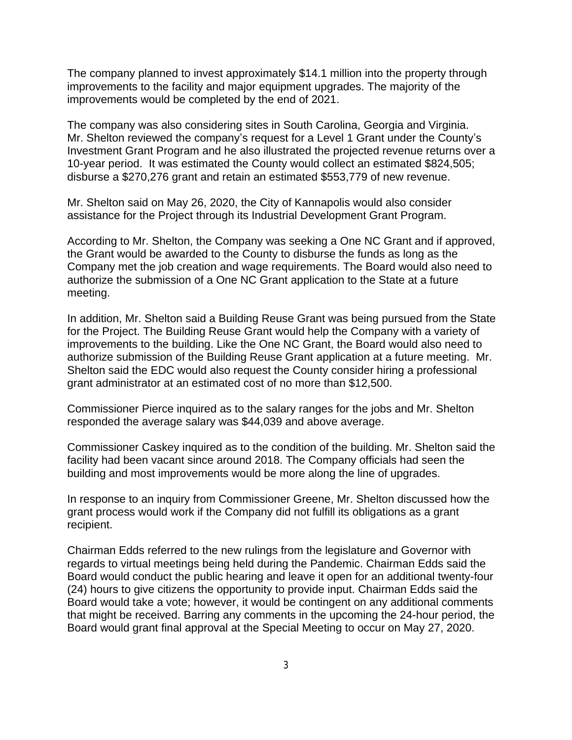The company planned to invest approximately \$14.1 million into the property through improvements to the facility and major equipment upgrades. The majority of the improvements would be completed by the end of 2021.

The company was also considering sites in South Carolina, Georgia and Virginia. Mr. Shelton reviewed the company's request for a Level 1 Grant under the County's Investment Grant Program and he also illustrated the projected revenue returns over a 10-year period. It was estimated the County would collect an estimated \$824,505; disburse a \$270,276 grant and retain an estimated \$553,779 of new revenue.

Mr. Shelton said on May 26, 2020, the City of Kannapolis would also consider assistance for the Project through its Industrial Development Grant Program.

According to Mr. Shelton, the Company was seeking a One NC Grant and if approved, the Grant would be awarded to the County to disburse the funds as long as the Company met the job creation and wage requirements. The Board would also need to authorize the submission of a One NC Grant application to the State at a future meeting.

In addition, Mr. Shelton said a Building Reuse Grant was being pursued from the State for the Project. The Building Reuse Grant would help the Company with a variety of improvements to the building. Like the One NC Grant, the Board would also need to authorize submission of the Building Reuse Grant application at a future meeting. Mr. Shelton said the EDC would also request the County consider hiring a professional grant administrator at an estimated cost of no more than \$12,500.

Commissioner Pierce inquired as to the salary ranges for the jobs and Mr. Shelton responded the average salary was \$44,039 and above average.

Commissioner Caskey inquired as to the condition of the building. Mr. Shelton said the facility had been vacant since around 2018. The Company officials had seen the building and most improvements would be more along the line of upgrades.

In response to an inquiry from Commissioner Greene, Mr. Shelton discussed how the grant process would work if the Company did not fulfill its obligations as a grant recipient.

Chairman Edds referred to the new rulings from the legislature and Governor with regards to virtual meetings being held during the Pandemic. Chairman Edds said the Board would conduct the public hearing and leave it open for an additional twenty-four (24) hours to give citizens the opportunity to provide input. Chairman Edds said the Board would take a vote; however, it would be contingent on any additional comments that might be received. Barring any comments in the upcoming the 24-hour period, the Board would grant final approval at the Special Meeting to occur on May 27, 2020.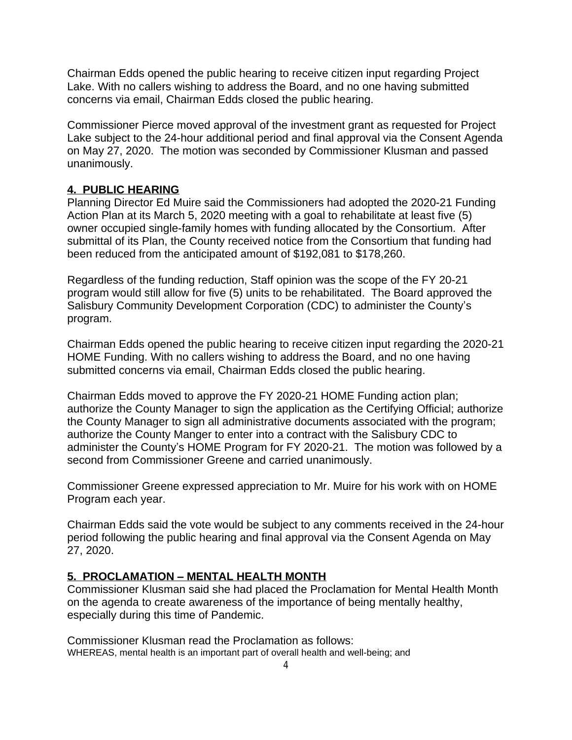Chairman Edds opened the public hearing to receive citizen input regarding Project Lake. With no callers wishing to address the Board, and no one having submitted concerns via email, Chairman Edds closed the public hearing.

Commissioner Pierce moved approval of the investment grant as requested for Project Lake subject to the 24-hour additional period and final approval via the Consent Agenda on May 27, 2020. The motion was seconded by Commissioner Klusman and passed unanimously.

## **4. PUBLIC HEARING**

Planning Director Ed Muire said the Commissioners had adopted the 2020-21 Funding Action Plan at its March 5, 2020 meeting with a goal to rehabilitate at least five (5) owner occupied single-family homes with funding allocated by the Consortium. After submittal of its Plan, the County received notice from the Consortium that funding had been reduced from the anticipated amount of \$192,081 to \$178,260.

Regardless of the funding reduction, Staff opinion was the scope of the FY 20-21 program would still allow for five (5) units to be rehabilitated. The Board approved the Salisbury Community Development Corporation (CDC) to administer the County's program.

Chairman Edds opened the public hearing to receive citizen input regarding the 2020-21 HOME Funding. With no callers wishing to address the Board, and no one having submitted concerns via email, Chairman Edds closed the public hearing.

Chairman Edds moved to approve the FY 2020-21 HOME Funding action plan; authorize the County Manager to sign the application as the Certifying Official; authorize the County Manager to sign all administrative documents associated with the program; authorize the County Manger to enter into a contract with the Salisbury CDC to administer the County's HOME Program for FY 2020-21. The motion was followed by a second from Commissioner Greene and carried unanimously.

Commissioner Greene expressed appreciation to Mr. Muire for his work with on HOME Program each year.

Chairman Edds said the vote would be subject to any comments received in the 24-hour period following the public hearing and final approval via the Consent Agenda on May 27, 2020.

## **5. PROCLAMATION – MENTAL HEALTH MONTH**

Commissioner Klusman said she had placed the Proclamation for Mental Health Month on the agenda to create awareness of the importance of being mentally healthy, especially during this time of Pandemic.

Commissioner Klusman read the Proclamation as follows: WHEREAS, mental health is an important part of overall health and well-being; and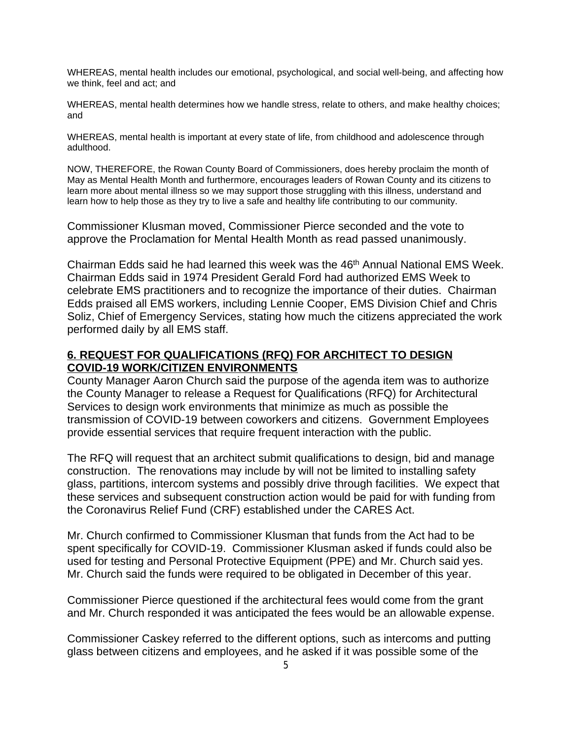WHEREAS, mental health includes our emotional, psychological, and social well-being, and affecting how we think, feel and act; and

WHEREAS, mental health determines how we handle stress, relate to others, and make healthy choices; and

WHEREAS, mental health is important at every state of life, from childhood and adolescence through adulthood.

NOW, THEREFORE, the Rowan County Board of Commissioners, does hereby proclaim the month of May as Mental Health Month and furthermore, encourages leaders of Rowan County and its citizens to learn more about mental illness so we may support those struggling with this illness, understand and learn how to help those as they try to live a safe and healthy life contributing to our community.

Commissioner Klusman moved, Commissioner Pierce seconded and the vote to approve the Proclamation for Mental Health Month as read passed unanimously.

Chairman Edds said he had learned this week was the 46th Annual National EMS Week. Chairman Edds said in 1974 President Gerald Ford had authorized EMS Week to celebrate EMS practitioners and to recognize the importance of their duties. Chairman Edds praised all EMS workers, including Lennie Cooper, EMS Division Chief and Chris Soliz, Chief of Emergency Services, stating how much the citizens appreciated the work performed daily by all EMS staff.

#### **6. REQUEST FOR QUALIFICATIONS (RFQ) FOR ARCHITECT TO DESIGN COVID-19 WORK/CITIZEN ENVIRONMENTS**

County Manager Aaron Church said the purpose of the agenda item was to authorize the County Manager to release a Request for Qualifications (RFQ) for Architectural Services to design work environments that minimize as much as possible the transmission of COVID-19 between coworkers and citizens. Government Employees provide essential services that require frequent interaction with the public.

The RFQ will request that an architect submit qualifications to design, bid and manage construction. The renovations may include by will not be limited to installing safety glass, partitions, intercom systems and possibly drive through facilities. We expect that these services and subsequent construction action would be paid for with funding from the Coronavirus Relief Fund (CRF) established under the CARES Act.

Mr. Church confirmed to Commissioner Klusman that funds from the Act had to be spent specifically for COVID-19. Commissioner Klusman asked if funds could also be used for testing and Personal Protective Equipment (PPE) and Mr. Church said yes. Mr. Church said the funds were required to be obligated in December of this year.

Commissioner Pierce questioned if the architectural fees would come from the grant and Mr. Church responded it was anticipated the fees would be an allowable expense.

Commissioner Caskey referred to the different options, such as intercoms and putting glass between citizens and employees, and he asked if it was possible some of the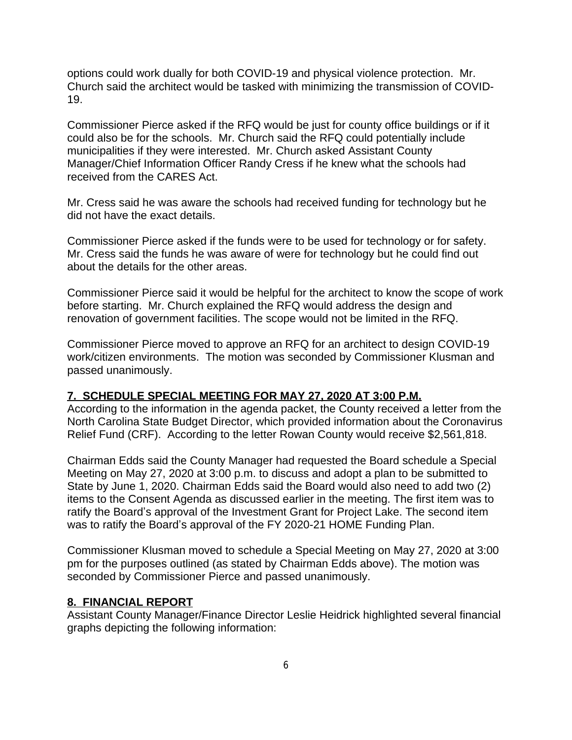options could work dually for both COVID-19 and physical violence protection. Mr. Church said the architect would be tasked with minimizing the transmission of COVID-19.

Commissioner Pierce asked if the RFQ would be just for county office buildings or if it could also be for the schools. Mr. Church said the RFQ could potentially include municipalities if they were interested. Mr. Church asked Assistant County Manager/Chief Information Officer Randy Cress if he knew what the schools had received from the CARES Act.

Mr. Cress said he was aware the schools had received funding for technology but he did not have the exact details.

Commissioner Pierce asked if the funds were to be used for technology or for safety. Mr. Cress said the funds he was aware of were for technology but he could find out about the details for the other areas.

Commissioner Pierce said it would be helpful for the architect to know the scope of work before starting. Mr. Church explained the RFQ would address the design and renovation of government facilities. The scope would not be limited in the RFQ.

Commissioner Pierce moved to approve an RFQ for an architect to design COVID-19 work/citizen environments. The motion was seconded by Commissioner Klusman and passed unanimously.

## **7. SCHEDULE SPECIAL MEETING FOR MAY 27, 2020 AT 3:00 P.M.**

According to the information in the agenda packet, the County received a letter from the North Carolina State Budget Director, which provided information about the Coronavirus Relief Fund (CRF). According to the letter Rowan County would receive \$2,561,818.

Chairman Edds said the County Manager had requested the Board schedule a Special Meeting on May 27, 2020 at 3:00 p.m. to discuss and adopt a plan to be submitted to State by June 1, 2020. Chairman Edds said the Board would also need to add two (2) items to the Consent Agenda as discussed earlier in the meeting. The first item was to ratify the Board's approval of the Investment Grant for Project Lake. The second item was to ratify the Board's approval of the FY 2020-21 HOME Funding Plan.

Commissioner Klusman moved to schedule a Special Meeting on May 27, 2020 at 3:00 pm for the purposes outlined (as stated by Chairman Edds above). The motion was seconded by Commissioner Pierce and passed unanimously.

#### **8. FINANCIAL REPORT**

Assistant County Manager/Finance Director Leslie Heidrick highlighted several financial graphs depicting the following information: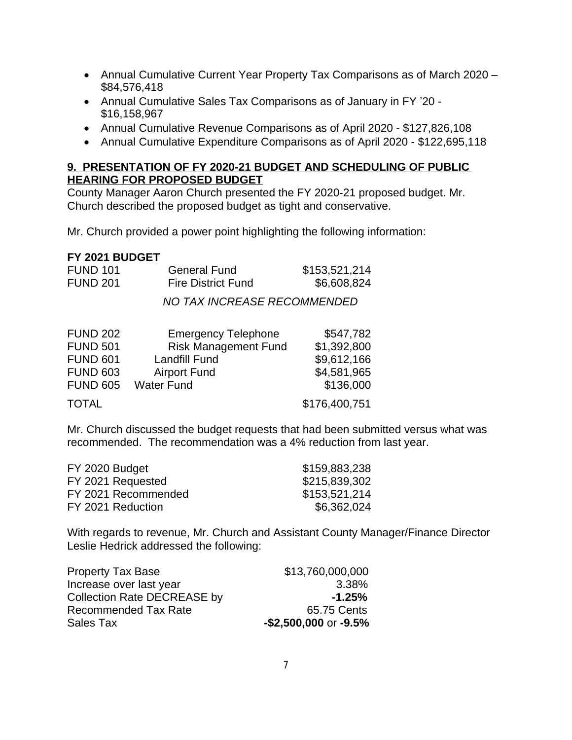- Annual Cumulative Current Year Property Tax Comparisons as of March 2020 \$84,576,418
- Annual Cumulative Sales Tax Comparisons as of January in FY '20 \$16,158,967
- Annual Cumulative Revenue Comparisons as of April 2020 \$127,826,108
- Annual Cumulative Expenditure Comparisons as of April 2020 \$122,695,118

## **9. PRESENTATION OF FY 2020-21 BUDGET AND SCHEDULING OF PUBLIC HEARING FOR PROPOSED BUDGET**

County Manager Aaron Church presented the FY 2020-21 proposed budget. Mr. Church described the proposed budget as tight and conservative.

Mr. Church provided a power point highlighting the following information:

#### **FY 2021 BUDGET**

| <b>FUND 101</b>              | <b>General Fund</b>         | \$153,521,214  |
|------------------------------|-----------------------------|----------------|
| <b>FUND 201</b>              | <b>Fire District Fund</b>   | \$6,608,824    |
|                              | NO TAX INCREASE RECOMMENDED |                |
| <b>FUND 202</b><br>--------- | <b>Emergency Telephone</b>  | \$547,782<br>. |

| <b>FUND ZUZ</b> | Ellierdelicy Telepholie     | 3941,102      |
|-----------------|-----------------------------|---------------|
| <b>FUND 501</b> | <b>Risk Management Fund</b> | \$1,392,800   |
| <b>FUND 601</b> | Landfill Fund               | \$9,612,166   |
| <b>FUND 603</b> | <b>Airport Fund</b>         | \$4,581,965   |
| <b>FUND 605</b> | <b>Water Fund</b>           | \$136,000     |
| <b>TOTAL</b>    |                             | \$176,400,751 |

Mr. Church discussed the budget requests that had been submitted versus what was recommended. The recommendation was a 4% reduction from last year.

| FY 2020 Budget      | \$159,883,238 |
|---------------------|---------------|
| FY 2021 Requested   | \$215,839,302 |
| FY 2021 Recommended | \$153,521,214 |
| FY 2021 Reduction   | \$6,362,024   |

With regards to revenue, Mr. Church and Assistant County Manager/Finance Director Leslie Hedrick addressed the following:

| <b>Property Tax Base</b>           | \$13,760,000,000         |
|------------------------------------|--------------------------|
| Increase over last year            | 3.38%                    |
| <b>Collection Rate DECREASE by</b> | $-1.25\%$                |
| <b>Recommended Tax Rate</b>        | 65.75 Cents              |
| Sales Tax                          | $-$2,500,000$ or $-9.5%$ |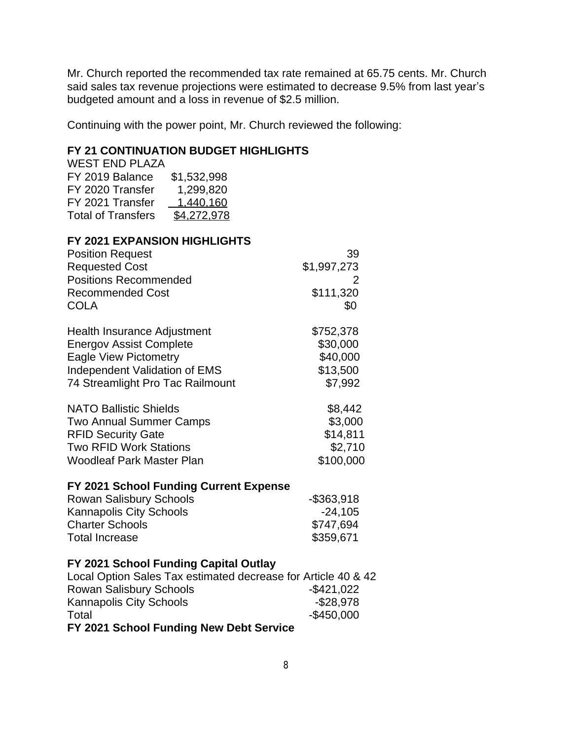Mr. Church reported the recommended tax rate remained at 65.75 cents. Mr. Church said sales tax revenue projections were estimated to decrease 9.5% from last year's budgeted amount and a loss in revenue of \$2.5 million.

Continuing with the power point, Mr. Church reviewed the following:

## **FY 21 CONTINUATION BUDGET HIGHLIGHTS**

| <b>WEST END PLAZA</b>     |             |
|---------------------------|-------------|
| FY 2019 Balance           | \$1,532,998 |
| FY 2020 Transfer          | 1,299,820   |
| FY 2021 Transfer          | 1,440,160   |
| <b>Total of Transfers</b> | \$4,272,978 |
|                           |             |

#### **FY 2021 EXPANSION HIGHLIGHTS**

| <b>Position Request</b>                                       | 39            |
|---------------------------------------------------------------|---------------|
| <b>Requested Cost</b>                                         | \$1,997,273   |
| <b>Positions Recommended</b>                                  | 2             |
| <b>Recommended Cost</b>                                       | \$111,320     |
| <b>COLA</b>                                                   | \$0           |
| <b>Health Insurance Adjustment</b>                            | \$752,378     |
| <b>Energov Assist Complete</b>                                | \$30,000      |
| <b>Eagle View Pictometry</b>                                  | \$40,000      |
| Independent Validation of EMS                                 | \$13,500      |
| 74 Streamlight Pro Tac Railmount                              | \$7,992       |
| <b>NATO Ballistic Shields</b>                                 | \$8,442       |
| <b>Two Annual Summer Camps</b>                                | \$3,000       |
| <b>RFID Security Gate</b>                                     | \$14,811      |
| <b>Two RFID Work Stations</b>                                 | \$2,710       |
| <b>Woodleaf Park Master Plan</b>                              | \$100,000     |
| FY 2021 School Funding Current Expense                        |               |
| <b>Rowan Salisbury Schools</b>                                | $-$ \$363,918 |
| <b>Kannapolis City Schools</b>                                | $-24,105$     |
| <b>Charter Schools</b>                                        | \$747,694     |
| <b>Total Increase</b>                                         | \$359,671     |
| FY 2021 School Funding Capital Outlay                         |               |
| Local Option Sales Tax estimated decrease for Article 40 & 42 |               |
| <b>Rowan Salisbury Schools</b>                                | $-$ \$421,022 |
| <b>Kannapolis City Schools</b>                                | $-$28,978$    |

Total -\$450,000

**FY 2021 School Funding New Debt Service**